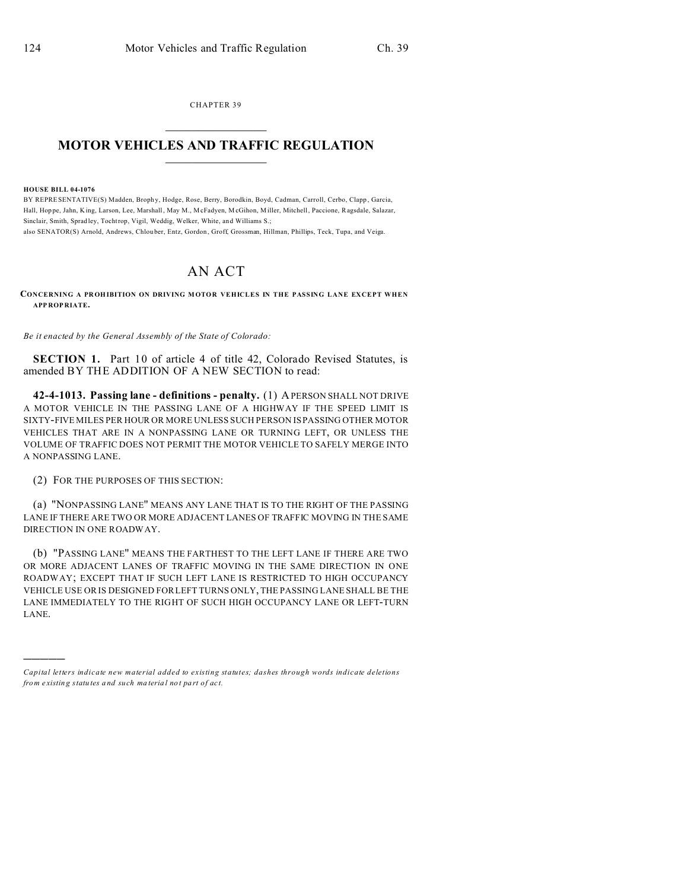CHAPTER 39  $\overline{\phantom{a}}$  , where  $\overline{\phantom{a}}$ 

## **MOTOR VEHICLES AND TRAFFIC REGULATION**  $\frac{1}{2}$  ,  $\frac{1}{2}$  ,  $\frac{1}{2}$  ,  $\frac{1}{2}$  ,  $\frac{1}{2}$  ,  $\frac{1}{2}$  ,  $\frac{1}{2}$

**HOUSE BILL 04-1076**

)))))

BY REPRESENTATIVE(S) Madden, Brophy, Hodge, Rose, Berry, Borodkin, Boyd, Cadman, Carroll, Cerbo, Clapp, Garcia, Hall, Hop pe, Jahn, King, Larson, Lee, Marshall, May M., M cFadyen, M cGihon, Miller, Mitchell, Paccione, Ragsdale, Salazar, Sinclair, Smith, Sprad ley, Tochtrop, Vigil, Weddig, Welker, White, an d Williams S.; also SENATOR(S) Arnold, Andrews, Chlou ber, Entz, Gordon , Groff, Grossman, Hillman, Phillips, Teck, Tupa, and Veiga.

## AN ACT

**CONCERNING A PROHIBITION ON DRIVING MOTOR VEHICLES IN THE PASSING LANE EXCEPT WHEN APP ROP RIATE.**

*Be it enacted by the General Assembly of the State of Colorado:*

**SECTION 1.** Part 10 of article 4 of title 42, Colorado Revised Statutes, is amended BY THE ADDITION OF A NEW SECTION to read:

**42-4-1013. Passing lane - definitions - penalty.** (1) A PERSON SHALL NOT DRIVE A MOTOR VEHICLE IN THE PASSING LANE OF A HIGHWAY IF THE SPEED LIMIT IS SIXTY-FIVE MILES PER HOUR OR MORE UNLESS SUCH PERSON IS PASSING OTHER MOTOR VEHICLES THAT ARE IN A NONPASSING LANE OR TURNING LEFT, OR UNLESS THE VOLUME OF TRAFFIC DOES NOT PERMIT THE MOTOR VEHICLE TO SAFELY MERGE INTO A NONPASSING LANE.

(2) FOR THE PURPOSES OF THIS SECTION:

(a) "NONPASSING LANE" MEANS ANY LANE THAT IS TO THE RIGHT OF THE PASSING LANE IF THERE ARE TWO OR MORE ADJACENT LANES OF TRAFFIC MOVING IN THE SAME DIRECTION IN ONE ROADWAY.

(b) "PASSING LANE" MEANS THE FARTHEST TO THE LEFT LANE IF THERE ARE TWO OR MORE ADJACENT LANES OF TRAFFIC MOVING IN THE SAME DIRECTION IN ONE ROADWAY; EXCEPT THAT IF SUCH LEFT LANE IS RESTRICTED TO HIGH OCCUPANCY VEHICLE USE OR IS DESIGNED FOR LEFT TURNS ONLY, THE PASSING LANE SHALL BE THE LANE IMMEDIATELY TO THE RIGHT OF SUCH HIGH OCCUPANCY LANE OR LEFT-TURN LANE.

*Capital letters indicate new material added to existing statutes; dashes through words indicate deletions from e xistin g statu tes a nd such ma teria l no t pa rt of ac t.*